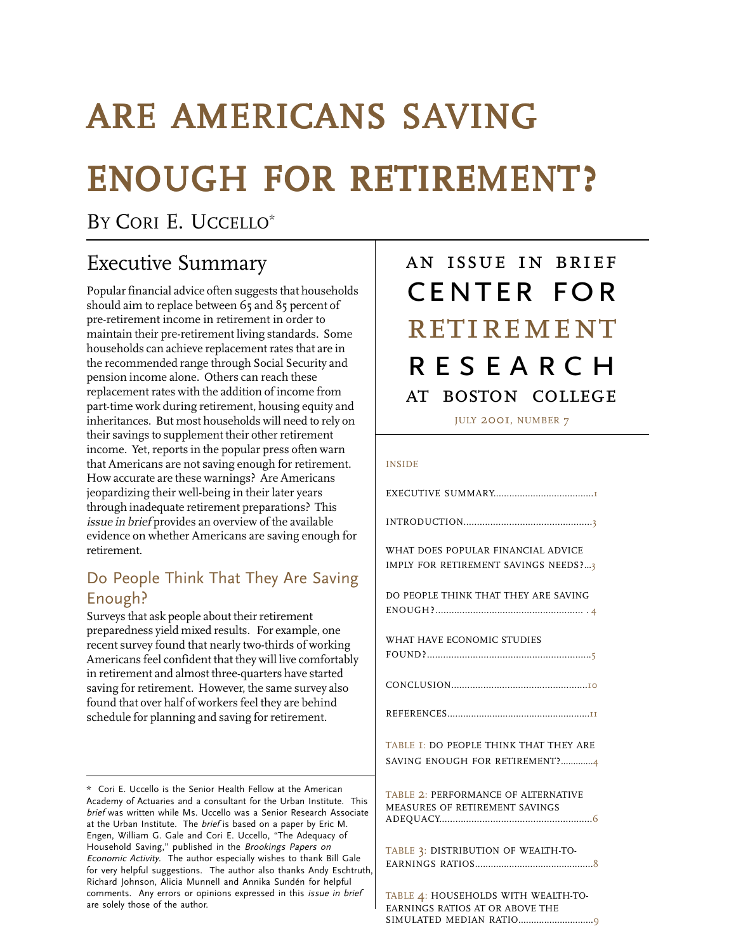# ARE AMERICANS SAVING ENOUGH FOR RETIREMENT?

BY CORI E. UCCELLO<sup>\*</sup>

## Executive Summary

Popular financial advice often suggests that households should aim to replace between 65 and 85 percent of pre-retirement income in retirement in order to maintain their pre-retirement living standards. Some households can achieve replacement rates that are in the recommended range through Social Security and pension income alone. Others can reach these replacement rates with the addition of income from part-time work during retirement, housing equity and inheritances. But most households will need to rely on their savings to supplement their other retirement income. Yet, reports in the popular press often warn that Americans are not saving enough for retirement. How accurate are these warnings? Are Americans jeopardizing their well-being in their later years through inadequate retirement preparations? This issue in brief provides an overview of the available evidence on whether Americans are saving enough for retirement.

## Do People Think That They Are Saving Enough?

Surveys that ask people about their retirement preparedness yield mixed results. For example, one recent survey found that nearly two-thirds of working Americans feel confident that they will live comfortably in retirement and almost three-quarters have started saving for retirement. However, the same survey also found that over half of workers feel they are behind schedule for planning and saving for retirement.

## an issue in brief center for at boston college **RESEARCH RETIREMENT**

JULY 2001, NUMBER 7

#### INSIDE

EXECUTIVE SUMMARY......................................1 INTRODUCTION................................................3 WHAT DOES POPULAR FINANCIAL ADVICE IMPLY FOR RETIREMENT SAVINGS NEEDS?...3 DO PEOPLE THINK THAT THEY ARE SAVING ENOUGH?....................................................... . 4 WHAT HAVE ECONOMIC STUDIES FOUND?.............................................................5 CONCLUSION...................................................10 REFERENCES......................................................11 TABLE 1: DO PEOPLE THINK THAT THEY ARE SAVING ENOUGH FOR RETIREMENT?.............4 TABLE 2: PERFORMANCE OF ALTERNATIVE MEASURES OF RETIREMENT SAVINGS ADEQUACY.........................................................6 TABLE 3: DISTRIBUTION OF WEALTH-TO-EARNINGS RATIOS.............................................8 TABLE 4: HOUSEHOLDS WITH WEALTH-TO-EARNINGS RATIOS AT OR ABOVE THE

SIMULATED MEDIAN RATIO.............................9

<sup>\*</sup> Cori E. Uccello is the Senior Health Fellow at the American Academy of Actuaries and a consultant for the Urban Institute. This brief was written while Ms. Uccello was a Senior Research Associate at the Urban Institute. The brief is based on a paper by Eric M. Engen, William G. Gale and Cori E. Uccello, "The Adequacy of Household Saving," published in the Brookings Papers on Economic Activity. The author especially wishes to thank Bill Gale for very helpful suggestions. The author also thanks Andy Eschtruth, Richard Johnson, Alicia Munnell and Annika Sundén for helpful comments. Any errors or opinions expressed in this issue in brief are solely those of the author.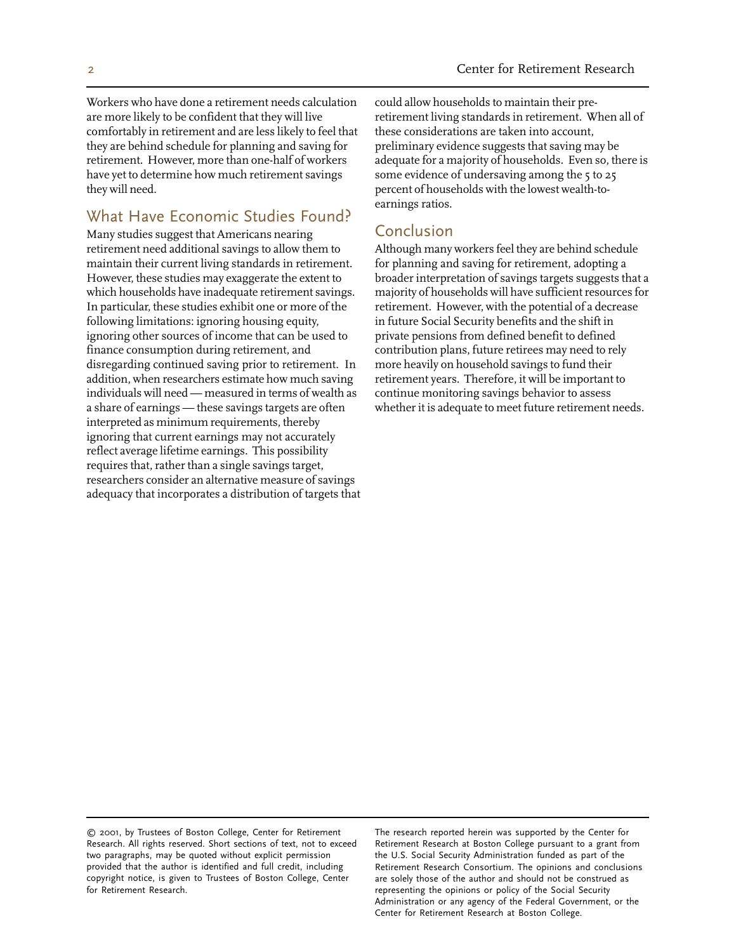Workers who have done a retirement needs calculation are more likely to be confident that they will live comfortably in retirement and are less likely to feel that they are behind schedule for planning and saving for retirement. However, more than one-half of workers have yet to determine how much retirement savings they will need.

#### What Have Economic Studies Found?

Many studies suggest that Americans nearing retirement need additional savings to allow them to maintain their current living standards in retirement. However, these studies may exaggerate the extent to which households have inadequate retirement savings. In particular, these studies exhibit one or more of the following limitations: ignoring housing equity, ignoring other sources of income that can be used to finance consumption during retirement, and disregarding continued saving prior to retirement. In addition, when researchers estimate how much saving individuals will need — measured in terms of wealth as a share of earnings — these savings targets are often interpreted as minimum requirements, thereby ignoring that current earnings may not accurately reflect average lifetime earnings. This possibility requires that, rather than a single savings target, researchers consider an alternative measure of savings adequacy that incorporates a distribution of targets that could allow households to maintain their preretirement living standards in retirement. When all of these considerations are taken into account, preliminary evidence suggests that saving may be adequate for a majority of households. Even so, there is some evidence of undersaving among the 5 to 25 percent of households with the lowest wealth-toearnings ratios.

#### Conclusion

Although many workers feel they are behind schedule for planning and saving for retirement, adopting a broader interpretation of savings targets suggests that a majority of households will have sufficient resources for retirement. However, with the potential of a decrease in future Social Security benefits and the shift in private pensions from defined benefit to defined contribution plans, future retirees may need to rely more heavily on household savings to fund their retirement years. Therefore, it will be important to continue monitoring savings behavior to assess whether it is adequate to meet future retirement needs.

Retirement Research Consortium. The opinions and conclusions are solely those of the author and should not be construed as Administration or any agency of the Federal Government, or the Center for Retirement Research at Boston College.

<sup>© 2001,</sup> by Trustees of Boston College, Center for Retirement The research reported herein was supported by the Center for Research. All rights reserved. Short sections of text, not to exceed Retirement Research at Boston College pursuant to a grant from<br>two paragraphs, may be quoted without explicit permission the U.S. Social Security Adminis two paragraphs, may be quoted without explicit permission provided that the author is identified and full credit, including copyright notice, is given to Trustees of Boston College, Center for Retirement Research. The representing the opinions or policy of the Social Security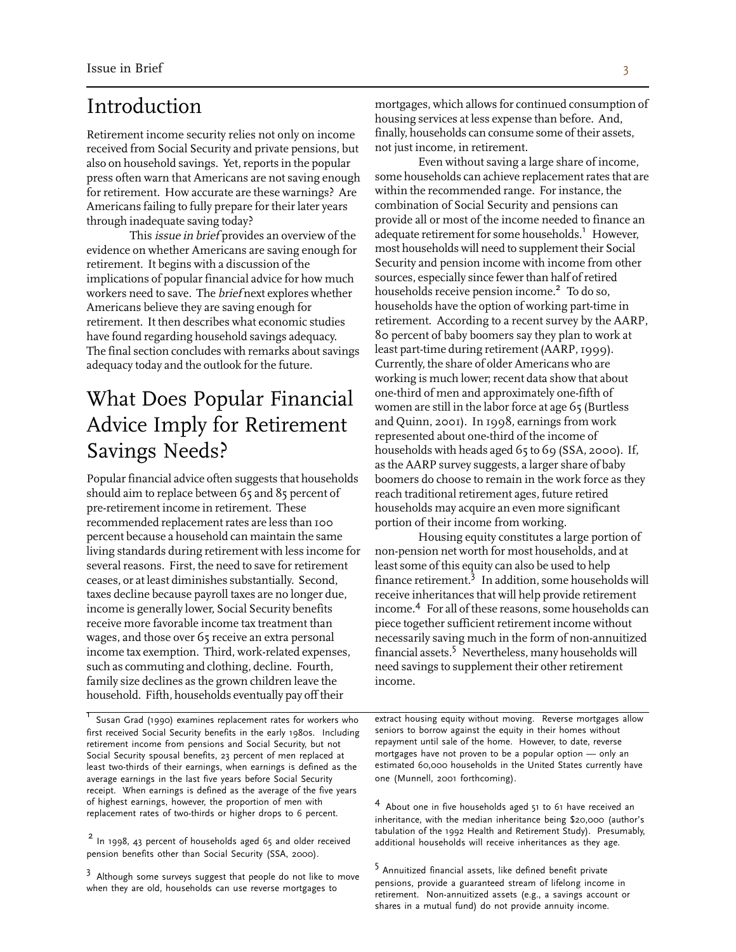## Introduction

Retirement income security relies not only on income received from Social Security and private pensions, but also on household savings. Yet, reports in the popular press often warn that Americans are not saving enough for retirement. How accurate are these warnings? Are Americans failing to fully prepare for their later years through inadequate saving today?

This *issue in brief* provides an overview of the evidence on whether Americans are saving enough for retirement. It begins with a discussion of the implications of popular financial advice for how much workers need to save. The brief next explores whether Americans believe they are saving enough for retirement. It then describes what economic studies have found regarding household savings adequacy. The final section concludes with remarks about savings adequacy today and the outlook for the future.

## What Does Popular Financial Advice Imply for Retirement Savings Needs?

Popular financial advice often suggests that households should aim to replace between 65 and 85 percent of pre-retirement income in retirement. These recommended replacement rates are less than 100 percent because a household can maintain the same living standards during retirement with less income for several reasons. First, the need to save for retirement ceases, or at least diminishes substantially. Second, taxes decline because payroll taxes are no longer due, income is generally lower, Social Security benefits receive more favorable income tax treatment than wages, and those over 65 receive an extra personal income tax exemption. Third, work-related expenses, such as commuting and clothing, decline. Fourth, family size declines as the grown children leave the household. Fifth, households eventually pay off their

first received Social Security benefits in the early 1980s. Including seniors to borrow against the equity in their homes without retirement income from pensions and Social Security but not repayment until sale of the home retirement income from pensions and Social Security, but not repayment until sale of the home. However, to date, reverse<br>Social Security spousal benefits, 23 percent of men replaced at mortgages have not proven to be a pop Social Security spousal benefits, 23 percent of men replaced at mortgages have not proven to be a popular option — only an<br>Least two-thirds of their earnings, when earnings is defined as the stimated 60,000 households in t least two-thirds of their earnings, when earnings is defined as the estimated 60,000 households in the United States currently and the United States currently average earnings in the last five years before Social Security average earnings in the last five years before Social Security receipt. When earnings is defined as the average of the five years

pension benefits other than Social Security (SSA, 2000).

mortgages, which allows for continued consumption of housing services at less expense than before. And, finally, households can consume some of their assets, not just income, in retirement.

Even without saving a large share of income, some households can achieve replacement rates that are within the recommended range. For instance, the combination of Social Security and pensions can provide all or most of the income needed to finance an adequate retirement for some households.<sup>1</sup> However, most households will need to supplement their Social Security and pension income with income from other sources, especially since fewer than half of retired<br>households receive pension income.<sup>2</sup> To do so, households have the option of working part-time in retirement. According to a recent survey by the AARP, 80 percent of baby boomers say they plan to work at least part-time during retirement (AARP, 1999). Currently, the share of older Americans who are working is much lower; recent data show that about one-third of men and approximately one-fifth of women are still in the labor force at age 65 (Burtless and Quinn, 2001). In 1998, earnings from work represented about one-third of the income of households with heads aged 65 to 69 (SSA, 2000). If, as the AARP survey suggests, a larger share of baby boomers do choose to remain in the work force as they reach traditional retirement ages, future retired households may acquire an even more significant portion of their income from working.

Housing equity constitutes a large portion of non-pension net worth for most households, and at least some of this equity can also be used to help finance retirement. $3$  In addition, some households will receive inheritances that will help provide retirement income.<sup>4</sup> For all of these reasons, some households can piece together sufficient retirement income without necessarily saving much in the form of non-annuitized financial assets.<sup>5</sup> Nevertheless, many households will need savings to supplement their other retirement income.

<sup>1</sup> Susan Grad (1990) examines replacement rates for workers who extract housing equity without moving. Reverse mortgages allow<br>first received Social Security benefits in the early 1980s. Including seniors to borrow again

of highest earnings, however, the proportion of men with <sup>4</sup> About one in five households aged 51 to 61 have received an replacement rates of two-thirds or higher drops to 6 percent. inheritance, with the median inheritance being \$20,000 (author's <sup>2</sup> In 1998, 43 percent of households aged 65 and older received additional households will receive inheritances as they age.

<sup>3</sup> Although some surveys suggest that people do not like to move<br>when they are old, households can use reverse mortgages to<br>retirement. Non-annuitized assets (e.g., a savings account or shares in a mutual fund) do not provide annuity income.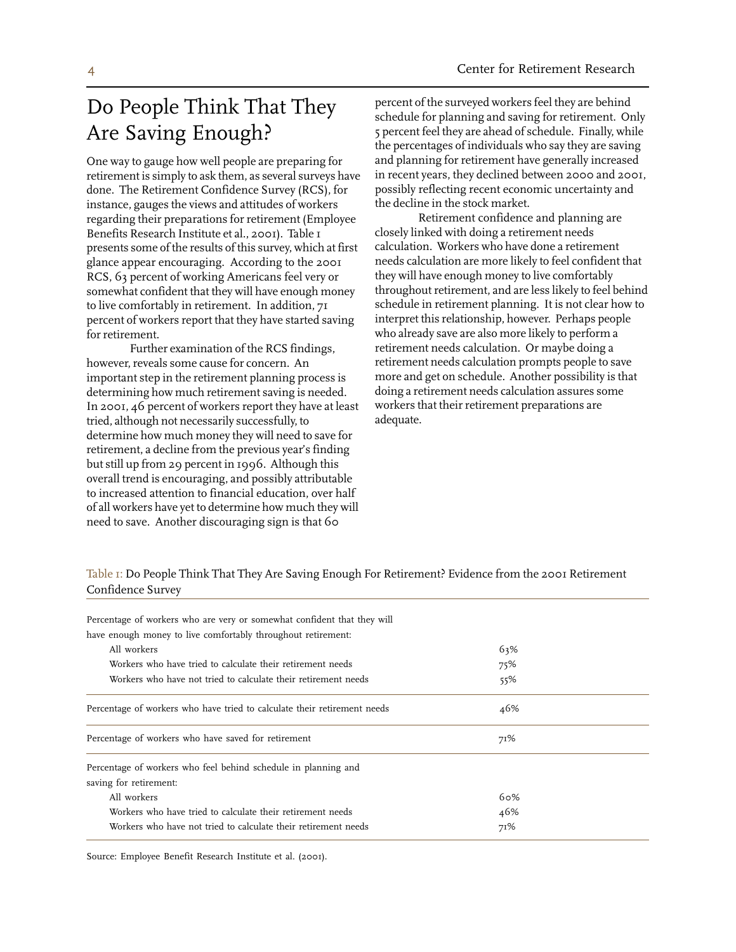## Do People Think That They Are Saving Enough?

One way to gauge how well people are preparing for retirement is simply to ask them, as several surveys have done. The Retirement Confidence Survey (RCS), for instance, gauges the views and attitudes of workers regarding their preparations for retirement (Employee Benefits Research Institute et al., 2001). Table 1 presents some of the results of this survey, which at first glance appear encouraging. According to the 2001 RCS, 63 percent of working Americans feel very or somewhat confident that they will have enough money to live comfortably in retirement. In addition, 71 percent of workers report that they have started saving for retirement.

Further examination of the RCS findings, however, reveals some cause for concern. An important step in the retirement planning process is determining how much retirement saving is needed. In 2001, 46 percent of workers report they have at least tried, although not necessarily successfully, to determine how much money they will need to save for retirement, a decline from the previous year's finding but still up from 29 percent in 1996. Although this overall trend is encouraging, and possibly attributable to increased attention to financial education, over half of all workers have yet to determine how much they will need to save. Another discouraging sign is that 60

percent of the surveyed workers feel they are behind schedule for planning and saving for retirement. Only 5 percent feel they are ahead of schedule. Finally, while the percentages of individuals who say they are saving and planning for retirement have generally increased in recent years, they declined between 2000 and 2001, possibly reflecting recent economic uncertainty and the decline in the stock market.

Retirement confidence and planning are closely linked with doing a retirement needs calculation. Workers who have done a retirement needs calculation are more likely to feel confident that they will have enough money to live comfortably throughout retirement, and are less likely to feel behind schedule in retirement planning. It is not clear how to interpret this relationship, however. Perhaps people who already save are also more likely to perform a retirement needs calculation. Or maybe doing a retirement needs calculation prompts people to save more and get on schedule. Another possibility is that doing a retirement needs calculation assures some workers that their retirement preparations are adequate.

Table 1: Do People Think That They Are Saving Enough For Retirement? Evidence from the 2001 Retirement Confidence Survey

| 63% |
|-----|
| 75% |
| 55% |
| 46% |
| 71% |
|     |
|     |
| 60% |
| 46% |
| 71% |
|     |

Source: Employee Benefit Research Institute et al. (2001).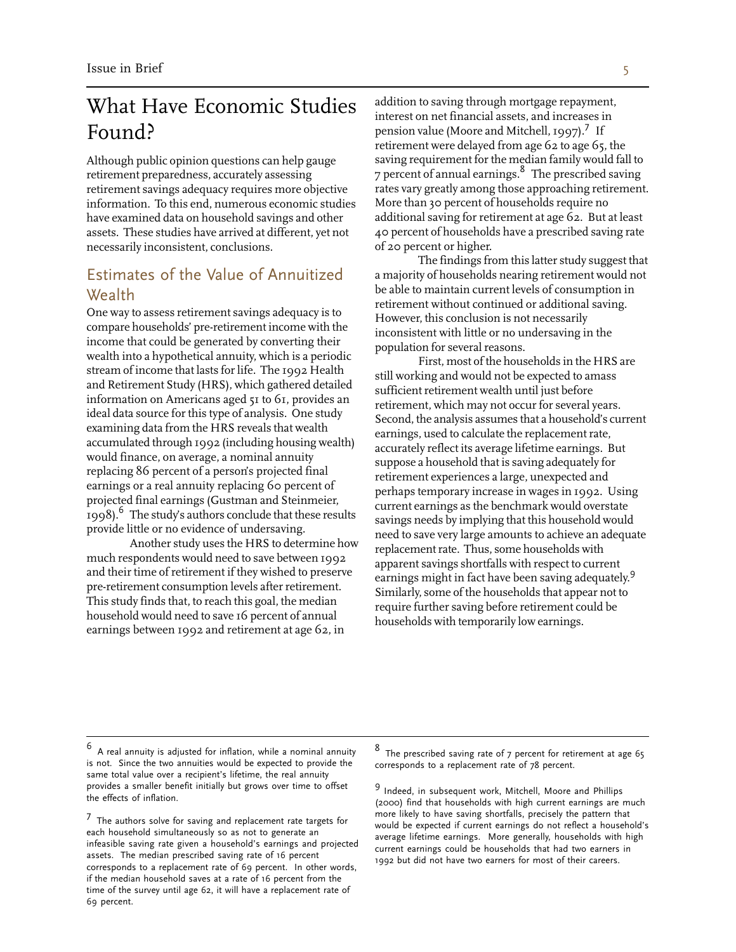## What Have Economic Studies Found?

Although public opinion questions can help gauge retirement preparedness, accurately assessing retirement savings adequacy requires more objective information. To this end, numerous economic studies have examined data on household savings and other assets. These studies have arrived at different, yet not necessarily inconsistent, conclusions.

#### Estimates of the Value of Annuitized Wealth

One way to assess retirement savings adequacy is to compare households' pre-retirement income with the income that could be generated by converting their wealth into a hypothetical annuity, which is a periodic stream of income that lasts for life. The 1992 Health and Retirement Study (HRS), which gathered detailed information on Americans aged 51 to 61, provides an ideal data source for this type of analysis. One study examining data from the HRS reveals that wealth accumulated through 1992 (including housing wealth) would finance, on average, a nominal annuity replacing 86 percent of a person's projected final earnings or a real annuity replacing 60 percent of projected final earnings (Gustman and Steinmeier, 1998). <sup>6</sup> The study's authors conclude that these results provide little or no evidence of undersaving.

Another study uses the HRS to determine how much respondents would need to save between 1992 and their time of retirement if they wished to preserve pre-retirement consumption levels after retirement. This study finds that, to reach this goal, the median household would need to save 16 percent of annual earnings between 1992 and retirement at age 62, in

addition to saving through mortgage repayment, interest on net financial assets, and increases in pension value (Moore and Mitchell, 1997).<sup>7</sup> If retirement were delayed from age 62 to age 65, the<br>saving requirement for the median family would fall to  $\frac{1}{7}$  percent of annual earnings. <sup>8</sup> The prescribed saving rates vary greatly among those approaching retirement. More than 30 percent of households require no additional saving for retirement at age 62. But at least 40 percent of households have a prescribed saving rate of 20 percent or higher.

The findings from this latter study suggest that a majority of households nearing retirement would not be able to maintain current levels of consumption in retirement without continued or additional saving. However, this conclusion is not necessarily inconsistent with little or no undersaving in the population for several reasons.

First, most of the households in the HRS are still working and would not be expected to amass sufficient retirement wealth until just before retirement, which may not occur for several years. Second, the analysis assumes that a household's current earnings, used to calculate the replacement rate, accurately reflect its average lifetime earnings. But suppose a household that is saving adequately for retirement experiences a large, unexpected and perhaps temporary increase in wages in 1992. Using current earnings as the benchmark would overstate savings needs by implying that this household would need to save very large amounts to achieve an adequate replacement rate. Thus, some households with apparent savings shortfalls with respect to current earnings might in fact have been saving adequately.<sup>9</sup> Similarly, some of the households that appear not to require further saving before retirement could be households with temporarily low earnings.

provides a smaller benefit initially but grows over time to offset  $\frac{9}{2}$  Indeed, in subsequent work, Mitchell, Moore and Phillips (2000) find that households with high current earnings are much more likely to have sav

 $^6$  A real annuity is adjusted for inflation, while a nominal annuity  $^8$  The prescribed saving rate of 7 percent for retirement at age 65 is not. Since the two annuities would be expected to provide the corresponds to a replacement rate of 78 percent. same total value over a recipient's lifetime, the real annuity

The authors solve for saving and replacement rate targets for<br>each household simultaneously so as not to generate an<br>infeasible saving rate given a household's earnings and projected<br>assets. The median prescribed saving ra if the median household saves at a rate of 16 percent from the time of the survey until age 62, it will have a replacement rate of 69 percent.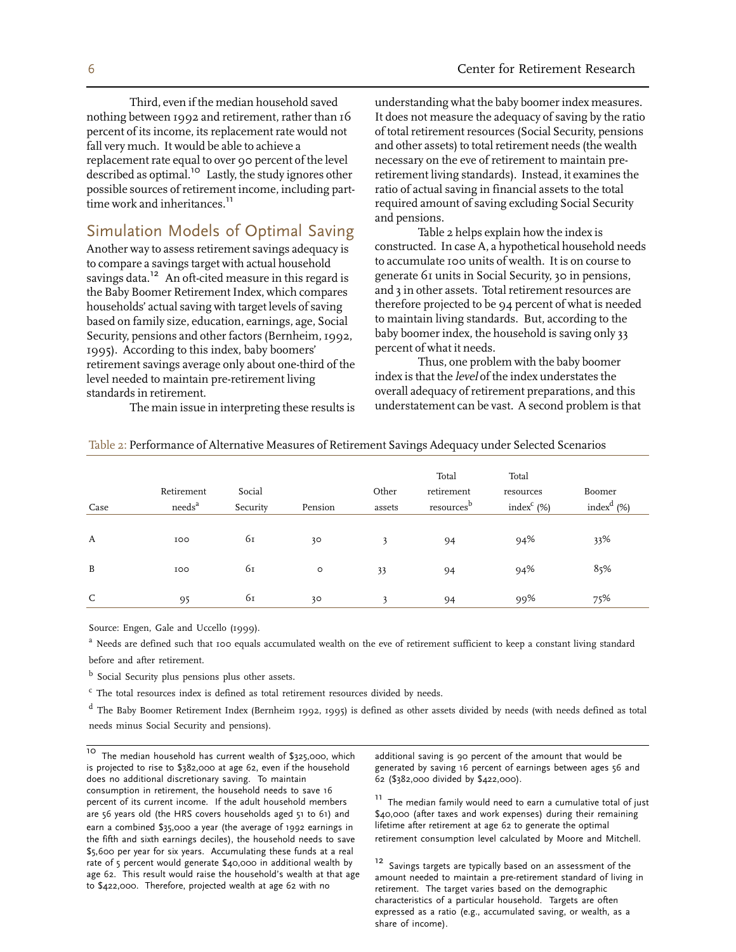Third, even if the median household saved nothing between 1992 and retirement, rather than 16 percent of its income, its replacement rate would not fall very much. It would be able to achieve a replacement rate equal to over 90 percent of the level described as optimal. <sup>10</sup> Lastly, the study ignores other possible sources of retirement income, including part-<br>time work and inheritances.<sup>11</sup>

#### Simulation Models of Optimal Saving

Another way to assess retirement savings adequacy is to compare a savings target with actual household<br>savings data.<sup>12</sup> An oft-cited measure in this regard is the Baby Boomer Retirement Index, which compares households' actual saving with target levels of saving based on family size, education, earnings, age, Social Security, pensions and other factors (Bernheim, 1992, 1995). According to this index, baby boomers' retirement savings average only about one-third of the level needed to maintain pre-retirement living standards in retirement.

The main issue in interpreting these results is

understanding what the baby boomer index measures. It does not measure the adequacy of saving by the ratio of total retirement resources (Social Security, pensions and other assets) to total retirement needs (the wealth necessary on the eve of retirement to maintain preretirement living standards). Instead, it examines the ratio of actual saving in financial assets to the total required amount of saving excluding Social Security and pensions.

Table 2 helps explain how the index is constructed. In case A, a hypothetical household needs to accumulate 100 units of wealth. It is on course to generate 61 units in Social Security, 30 in pensions, and 3 in other assets. Total retirement resources are therefore projected to be 94 percent of what is needed to maintain living standards. But, according to the baby boomer index, the household is saving only 33 percent of what it needs.

Thus, one problem with the baby boomer index is that the level of the index understates the overall adequacy of retirement preparations, and this understatement can be vast. A second problem is that

| Case | Retirement<br>needs <sup>a</sup> | Social<br>Security | Pension | Other<br>assets | Total<br>retirement<br>resources <sup>b</sup> | Total<br>resources<br>index $C$ (%) | Boomer<br>index <sup>d</sup> $(\%)$ |
|------|----------------------------------|--------------------|---------|-----------------|-----------------------------------------------|-------------------------------------|-------------------------------------|
| A    | IOO                              | 61                 | 30      | 3               | 94                                            | 94%                                 | 33%                                 |
| B    | IOO                              | 61                 | $\circ$ | 33              | 94                                            | 94%                                 | 85%                                 |
| C    | 95                               | 61                 | 30      | $\mathbf{3}$    | 94                                            | 99%                                 | 75%                                 |

| Table 2: Performance of Alternative Measures of Retirement Savings Adequacy under Selected Scenarios |  |  |
|------------------------------------------------------------------------------------------------------|--|--|
|                                                                                                      |  |  |

Source: Engen, Gale and Uccello (1999).

<sup>a</sup> Needs are defined such that 100 equals accumulated wealth on the eve of retirement sufficient to keep a constant living standard before and after retirement.

b Social Security plus pensions plus other assets.

<sup>c</sup> The total resources index is defined as total retirement resources divided by needs.

<sup>d</sup> The Baby Boomer Retirement Index (Bernheim 1992, 1995) is defined as other assets divided by needs (with needs defined as total needs minus Social Security and pensions).

<sup>10</sup> The median household has current wealth of \$325,000, which additional saving is 90 percent of the amount that would be is projected to rise to \$382,000 at age 62, even if the household generated by saving 16 percent of earnings between ages 56 and does no additional discretionary saving. To maintain 62 (\$382,000 divided by \$422,000). does no additional discretionary saving. To maintain<br>consumption in retirement, the household needs to save 16 percent of its current income. If the adult household members  $\frac{11}{20}$  The median family would need to earn a cumulative total of just are 56 years old (the HRS covers households aged 51 to 61) and  $\frac{200000}{200000000$ are 56 years old (the HRS covers households aged 51 to 61) and  $$40,000$  (after taxes and work expenses) during their ren<br>earn a combined \$35,000 a vear (the average of 1992 earnings in lifetime after retirement at age 62 earn a combined \$35,000 a year (the average of 1992 earnings in lifetime after retirement at age 62 to generate the optimal<br>the fifth and sixth earnings deciles), the household needs to save retirement consumption level ca the fifth and sixth earnings deciles), the household needs to save \$5,600 per year for six years. Accumulating these funds at a real rate of 5 percent would generate \$40,000 in additional wealth by rate of 5 percent would generate \$40,000 in additional wealth by  $\frac{12}{12}$  Savings targets are typically based on an assessment of the age 62. This result would raise the household's wealth at that age amount needed to

characteristics of a particular household. Targets are often expressed as a ratio (e.g., accumulated saving, or wealth, as a share of income).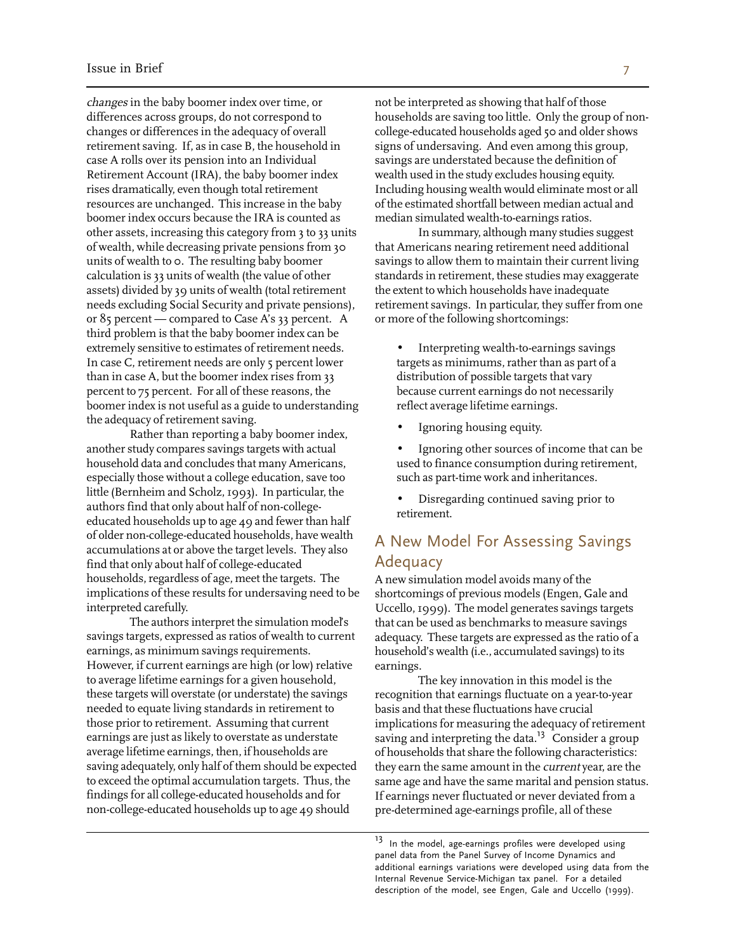changes in the baby boomer index over time, or differences across groups, do not correspond to changes or differences in the adequacy of overall retirement saving. If, as in case B, the household in case A rolls over its pension into an Individual Retirement Account (IRA), the baby boomer index rises dramatically, even though total retirement resources are unchanged. This increase in the baby boomer index occurs because the IRA is counted as other assets, increasing this category from 3 to 33 units of wealth, while decreasing private pensions from 30 units of wealth to 0. The resulting baby boomer calculation is 33 units of wealth (the value of other assets) divided by 39 units of wealth (total retirement needs excluding Social Security and private pensions), or 85 percent — compared to Case A's 33 percent. A third problem is that the baby boomer index can be extremely sensitive to estimates of retirement needs. In case C, retirement needs are only 5 percent lower than in case A, but the boomer index rises from 33 percent to 75 percent. For all of these reasons, the boomer index is not useful as a guide to understanding the adequacy of retirement saving.

Rather than reporting a baby boomer index, another study compares savings targets with actual household data and concludes that many Americans, especially those without a college education, save too little (Bernheim and Scholz, 1993). In particular, the authors find that only about half of non-collegeeducated households up to age 49 and fewer than half of older non-college-educated households, have wealth accumulations at or above the target levels. They also find that only about half of college-educated households, regardless of age, meet the targets. The implications of these results for undersaving need to be interpreted carefully.

The authors interpret the simulation model's savings targets, expressed as ratios of wealth to current earnings, as minimum savings requirements. However, if current earnings are high (or low) relative to average lifetime earnings for a given household, these targets will overstate (or understate) the savings needed to equate living standards in retirement to those prior to retirement. Assuming that current earnings are just as likely to overstate as understate average lifetime earnings, then, if households are saving adequately, only half of them should be expected to exceed the optimal accumulation targets. Thus, the findings for all college-educated households and for non-college-educated households up to age 49 should

not be interpreted as showing that half of those households are saving too little. Only the group of noncollege-educated households aged 50 and older shows signs of undersaving. And even among this group, savings are understated because the definition of wealth used in the study excludes housing equity. Including housing wealth would eliminate most or all of the estimated shortfall between median actual and median simulated wealth-to-earnings ratios.

In summary, although many studies suggest that Americans nearing retirement need additional savings to allow them to maintain their current living standards in retirement, these studies may exaggerate the extent to which households have inadequate retirement savings. In particular, they suffer from one or more of the following shortcomings:

- Interpreting wealth-to-earnings savings targets as minimums, rather than as part of a distribution of possible targets that vary because current earnings do not necessarily reflect average lifetime earnings.
- Ignoring housing equity.
- Ignoring other sources of income that can be used to finance consumption during retirement, such as part-time work and inheritances.
- Disregarding continued saving prior to retirement.

#### A New Model For Assessing Savings Adequacy

A new simulation model avoids many of the shortcomings of previous models (Engen, Gale and Uccello, 1999). The model generates savings targets that can be used as benchmarks to measure savings adequacy. These targets are expressed as the ratio of a household's wealth (i.e., accumulated savings) to its earnings.

The key innovation in this model is the recognition that earnings fluctuate on a year-to-year basis and that these fluctuations have crucial implications for measuring the adequacy of retirement saving and interpreting the data.<sup>13</sup> Consider a group of households that share the following characteristics: they earn the same amount in the *current* year, are the same age and have the same marital and pension status. If earnings never fluctuated or never deviated from a pre-determined age-earnings profile, all of these

<sup>&</sup>lt;sup>13</sup> In the model, age-earnings profiles were developed using panel data from the Panel Survey of Income Dynamics and additional earnings variations were developed using data from the Internal Revenue Service-Michigan tax panel. For a detailed description of the model, see Engen, Gale and Uccello (1999).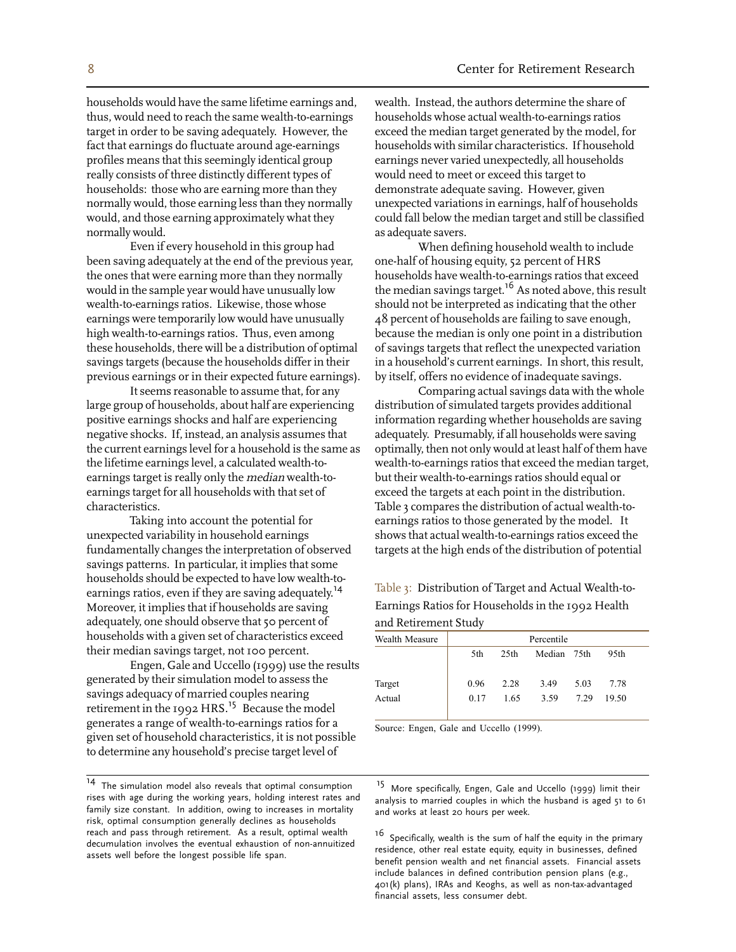households would have the same lifetime earnings and, thus, would need to reach the same wealth-to-earnings target in order to be saving adequately. However, the fact that earnings do fluctuate around age-earnings profiles means that this seemingly identical group really consists of three distinctly different types of households: those who are earning more than they normally would, those earning less than they normally would, and those earning approximately what they normally would.

Even if every household in this group had been saving adequately at the end of the previous year, the ones that were earning more than they normally would in the sample year would have unusually low wealth-to-earnings ratios. Likewise, those whose earnings were temporarily low would have unusually high wealth-to-earnings ratios. Thus, even among these households, there will be a distribution of optimal savings targets (because the households differ in their previous earnings or in their expected future earnings).

It seems reasonable to assume that, for any large group of households, about half are experiencing positive earnings shocks and half are experiencing negative shocks. If, instead, an analysis assumes that the current earnings level for a household is the same as the lifetime earnings level, a calculated wealth-toearnings target is really only the median wealth-toearnings target for all households with that set of characteristics.

Taking into account the potential for unexpected variability in household earnings fundamentally changes the interpretation of observed savings patterns. In particular, it implies that some households should be expected to have low wealth-toearnings ratios, even if they are saving adequately.<sup>14</sup> Moreover, it implies that if households are saving adequately, one should observe that 50 percent of households with a given set of characteristics exceed their median savings target, not 100 percent.

Engen, Gale and Uccello (1999) use the results generated by their simulation model to assess the savings adequacy of married couples nearing retirement in the 1992 HRS.<sup>15</sup> Because the model generates a range of wealth-to-earnings ratios for a given set of household characteristics, it is not possible to determine any household's precise target level of

wealth. Instead, the authors determine the share of households whose actual wealth-to-earnings ratios exceed the median target generated by the model, for households with similar characteristics. If household earnings never varied unexpectedly, all households would need to meet or exceed this target to demonstrate adequate saving. However, given unexpected variations in earnings, half of households could fall below the median target and still be classified as adequate savers.

When defining household wealth to include one-half of housing equity, 52 percent of HRS households have wealth-to-earnings ratios that exceed the median savings target.<sup>16</sup> As noted above, this result should not be interpreted as indicating that the other 48 percent of households are failing to save enough, because the median is only one point in a distribution of savings targets that reflect the unexpected variation in a household's current earnings. In short, this result, by itself, offers no evidence of inadequate savings.

Comparing actual savings data with the whole distribution of simulated targets provides additional information regarding whether households are saving adequately. Presumably, if all households were saving optimally, then not only would at least half of them have wealth-to-earnings ratios that exceed the median target, but their wealth-to-earnings ratios should equal or exceed the targets at each point in the distribution. Table 3 compares the distribution of actual wealth-toearnings ratios to those generated by the model. It shows that actual wealth-to-earnings ratios exceed the targets at the high ends of the distribution of potential

Table 3: Distribution of Target and Actual Wealth-to-Earnings Ratios for Households in the 1992 Health and Retirement Study

| Wealth Measure | Percentile |                  |             |      |                  |  |
|----------------|------------|------------------|-------------|------|------------------|--|
|                | 5th        | 25 <sub>th</sub> | Median 75th |      | 95 <sub>th</sub> |  |
| Target         | 0.96       | 2.28             | 3.49        | 5.03 | 7.78             |  |
| Actual         | 0.17       | 1.65             | 3.59        | 7 29 | 19.50            |  |

Source: Engen, Gale and Uccello (1999).

<sup>&</sup>lt;sup>14</sup> The simulation model also reveals that optimal consumption<br>
<sup>15</sup> More specifically, Engen, Gale and Uccello (1999) limit their<br>
rises with age during the working years, holding interest rates and<br>
family size constan

reach and pass through retirement. As a result, optimal wealth is specifically, wealth is the sum of half the equity in the primary<br>decumulation involves the eventual exhaustion of non-annuitized<br>assets well before the lon include balances in defined contribution pension plans (e.g., 401(k) plans), IRAs and Keoghs, as well as non-tax-advantaged financial assets, less consumer debt.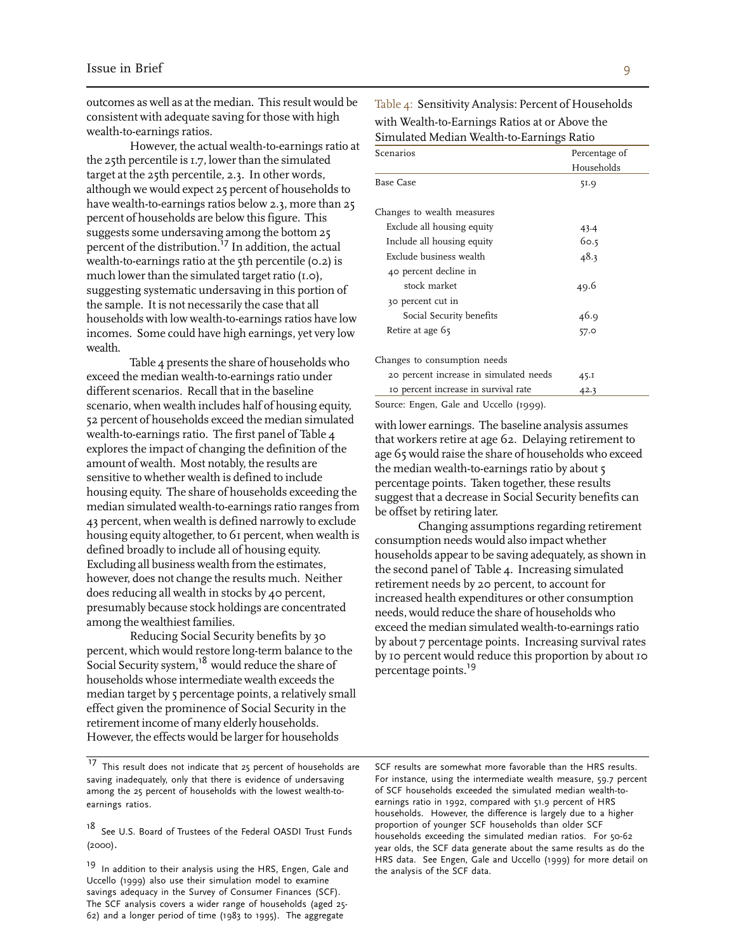outcomes as well as at the median. This result would be consistent with adequate saving for those with high wealth-to-earnings ratios.

However, the actual wealth-to-earnings ratio a t the 25th percentile is 1.7, lower than the simulated target at the 25th percentile, 2.3. In other words, although we would expect 25 percent of households to have wealth-to-earnings ratios below 2.3, more than 25 percent of households are below this figure. This suggests some undersaving among the bottom 25 percent of the distribution.<sup>17</sup> In addition, the actual wealth-to-earnings ratio at the 5th percentile (0.2) is much lower than the simulated target ratio (1.0), suggesting systematic undersaving in this portion of the sample. It is not necessarily the case that all households with low wealth-to-earnings ratios have low incomes. Some could have high earnings, yet very low wealth.

Table 4 presents the share of households who exceed the median wealth-to-earnings ratio under different scenarios. Recall that in the baseline scenario, when wealth includes half of housing equity, 52 percent of households exceed the median simulated wealth-to-earnings ratio. The first panel of Table 4 explores the impact of changing the definition of the amount of wealth. Most notably, the results are sensitive to whether wealth is defined to include housing equity. The share of households exceeding the median simulated wealth-to-earnings ratio ranges fro m 43 percent, when wealth is defined narrowly to exclude housing equity altogether, to 61 percent, when wealth i s defined broadly to include all of housing equity. Excluding all business wealth from the estimates, however, does not change the results much. Neither does reducing all wealth in stocks by 40 percent, presumably because stock holdings are concentrated among the wealthiest families.

Reducing Social Security benefits by 30 percent, which would restore long-term balance to the Social Security system,<sup>18</sup> would reduce the share of households whose intermediate wealth exceeds the median target by 5 percentage points, a relatively small effect given the prominence of Social Security in the retirement income of many elderly households. However, the effects would be larger for households

Table 4: Sensitivity Analysis: Percent of Households with Wealth-to-Earnings Ratios at or Above the Simulated Median Wealth-to-Earnings Ratio

| Scenarios                              | Percentage of |  |  |
|----------------------------------------|---------------|--|--|
|                                        | Households    |  |  |
| Base Case                              | 51.9          |  |  |
| Changes to wealth measures             |               |  |  |
| Exclude all housing equity             | 43.4          |  |  |
| Include all housing equity             | 60.5          |  |  |
| Exclude business wealth                | 48.3          |  |  |
| 40 percent decline in                  |               |  |  |
| stock market                           | 49.6          |  |  |
| 30 percent cut in                      |               |  |  |
| Social Security benefits               | 46.9          |  |  |
| Retire at age 65                       | 57.0          |  |  |
| Changes to consumption needs           |               |  |  |
| 20 percent increase in simulated needs | 45.1          |  |  |
| IO percent increase in survival rate   | 42.3          |  |  |
| Source: Engen, Cale and Hecello (1000) |               |  |  |

Source: Engen, Gale and Uccello (1999).

with lower earnings. The baseline analysis assumes that workers retire at age 62. Delaying retirement to age 65 would raise the share of households who exceed the median wealth-to-earnings ratio by about 5 percentage points. Taken together, these results suggest that a decrease in Social Security benefits can be offset by retiring later.

Changing assumptions regarding retirement consumption needs would also impact whether households appear to be saving adequately, as shown in the second panel of Table 4. Increasing simulated retirement needs by 20 percent, to account for increased health expenditures or other consumption needs, would reduce the share of households who exceed the median simulated wealth-to-earnings ratio by about 7 percentage points. Increasing survival rates by 10 percent would reduce this proportion by about 10 percentage points.<sup>19</sup>

saving inadequately, only that there is evidence of undersaving For instance, using the intermediate wealth measure, 59.7 per<br>among the 25 percent of households with the lowest wealth-to- of SCF households exceeded the sim among the 25 percent of households with the lowest wealth-to-<br>earnings ratio in 1992, compared with 51.9 percent of HRS

Uccello (1999) also use their simulation model to examine savings adequacy in the Survey of Consumer Finances (SCF). The SCF analysis covers a wider range of households (aged 25- 62) and a longer period of time (1983 to 1995). The aggregate

<sup>&</sup>lt;sup>17</sup> This result does not indicate that 25 percent of households are SCF results are somewhat more favorable than the HRS results.<br>saving inadequately, only that there is evidence of undersaving For instance, using the in earnings ratios.<br>households. However, the difference is largely due to a higher<br>proportion of younger SCF households than older SCF<br>proportion of younger SCF households than older SCF 18 See U.S. Board of Trustees of the Federal OASDI Trust Funds<br>households exceeding the simulated median ratios. For 50-62<br>year olds, the SCF data generate about the same results as do the HRS data. See Engen, Gale and Uccello (1999) for more detail on 19 In addition to their analysis using the HRS, Engen, Gale and the analysis of the SCF data.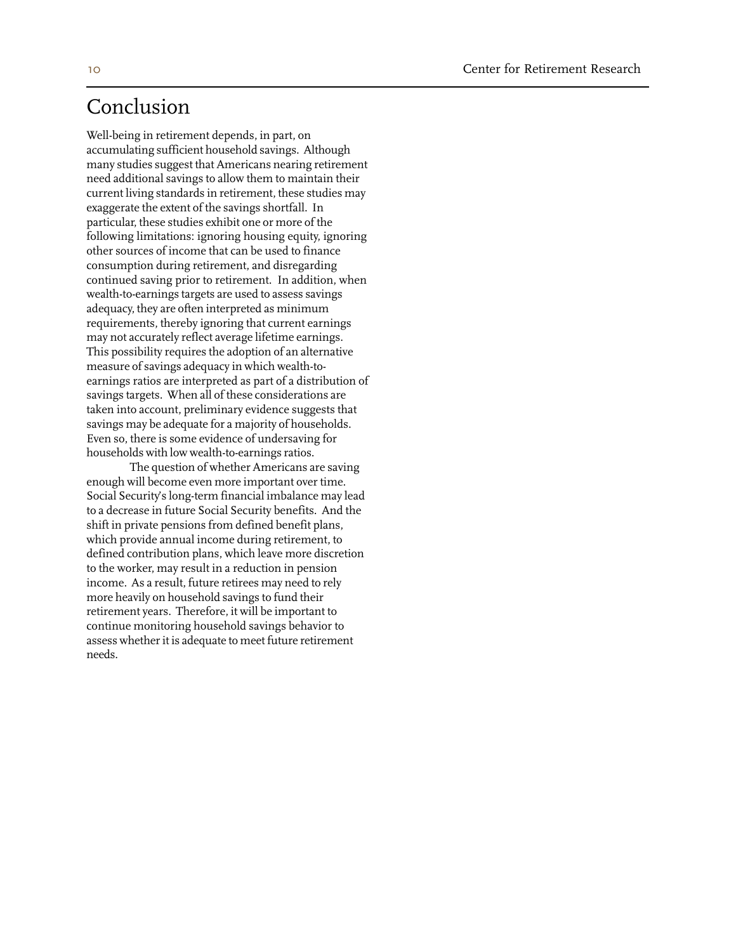## Conclusion

Well-being in retirement depends, in part, on accumulating sufficient household savings. Although many studies suggest that Americans nearing retirement need additional savings to allow them to maintain their current living standards in retirement, these studies may exaggerate the extent of the savings shortfall. In particular, these studies exhibit one or more of the following limitations: ignoring housing equity, ignoring other sources of income that can be used to finance consumption during retirement, and disregarding continued saving prior to retirement. In addition, when wealth-to-earnings targets are used to assess savings adequacy, they are often interpreted as minimum requirements, thereby ignoring that current earnings may not accurately reflect average lifetime earnings. This possibility requires the adoption of an alternative measure of savings adequacy in which wealth-toearnings ratios are interpreted as part of a distribution of savings targets. When all of these considerations are taken into account, preliminary evidence suggests that savings may be adequate for a majority of households. Even so, there is some evidence of undersaving for households with low wealth-to-earnings ratios.

The question of whether Americans are saving enough will become even more important over time. Social Security's long-term financial imbalance may lead to a decrease in future Social Security benefits. And the shift in private pensions from defined benefit plans, which provide annual income during retirement, to defined contribution plans, which leave more discretion to the worker, may result in a reduction in pension income. As a result, future retirees may need to rely more heavily on household savings to fund their retirement years. Therefore, it will be important to continue monitoring household savings behavior to assess whether it is adequate to meet future retirement needs.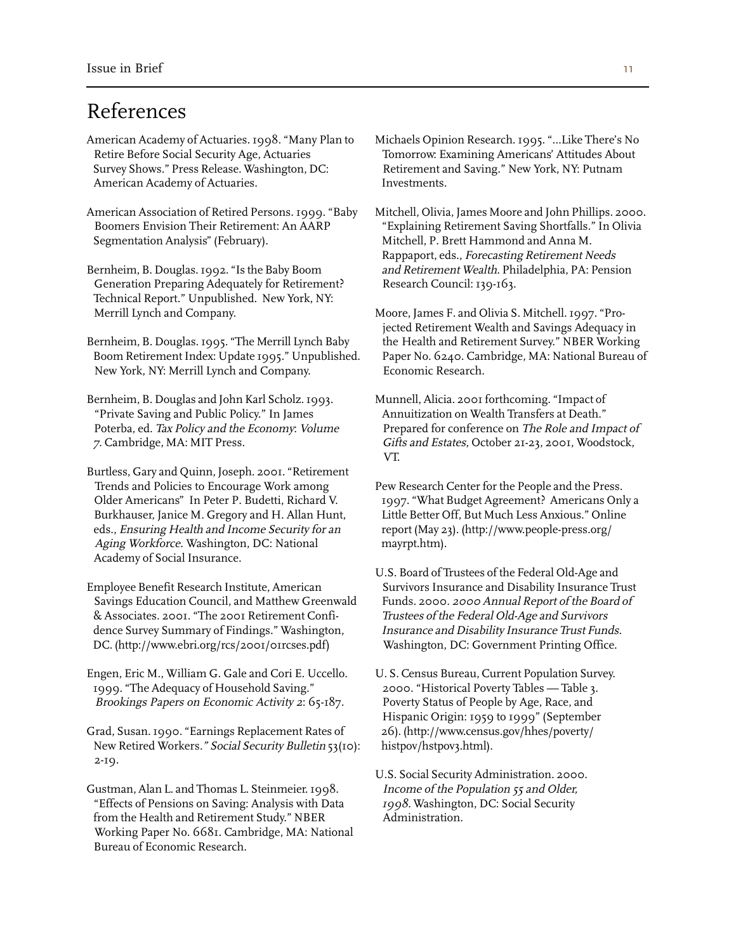## References

 Survey Shows." Press Release. Washington, DC: Retirement and Saving." New York, NY: Putnam American Academy of Actuaries. The action of the Investments.

Segmentation Analysis" (February). Mitchell, P. Brett Hammond and Anna M.

Generation Preparing Adequately for Retirement? Research Council: 139-163. Technical Report." Unpublished. New York, NY: Merrill Lynch and Company. Moore, James F. and Olivia S. Mitchell. 1997. "Pro-

New York, NY: Merrill Lynch and Company. Economic Research.

Bernheim, B. Douglas and John Karl Scholz. 1993. Munnell, Alicia. 2001 forthcoming. "Impact of "Private Saving and Public Policy." In James Annuitization on Wealth Transfers at Death."

Burtless, Gary and Quinn, Joseph. 2001. "Retirement Trends and Policies to Encourage Work among Pew Research Center for the People and the Press. Burkhauser, Janice M. Gregory and H. Allan Hunt, Little Better Off, But Much Less Anxious." Online eds., Ensuring Health and Income Security for an report (May 23). (http://www.people-press.org/ Aging Workforce. Washington, DC: National mayrpt.htm). Academy of Social Insurance.

Savings Education Council, and Matthew Greenwald Funds. 2000. 2000 Annual Report of the Board of & Associates. 2001. "The 2001 Retirement Confi- Trustees of the Federal Old-Age and Survivors dence Survey Summary of Findings." Washington, *Insurance and Disability Insurance Trust Funds.* DC. (http://www.ebri.org/rcs/2001/01rcses.pdf) Washington, DC: Government Printing Office.

 1999. "The Adequacy of Household Saving." 2000. "Historical Poverty Tables — Table 3. Brookings Papers on Economic Activity 2: 65-187. Poverty Status of People by Age, Race, and

Grad, Susan. 1990. "Earnings Replacement Rates of 26). (http://www.census.gov/hhes/poverty/ New Retired Workers." Social Security Bulletin 53(10): histpov/hstpov3.html). 2-19.

Gustman, Alan L. and Thomas L. Steinmeier. 1998. *Income of the Population 55 and Older*, "Effects of Pensions on Saving: Analysis with Data 1998. Washington, DC: Social Security from the Health and Retirement Study." NBER Administration. Working Paper No. 6681. Cambridge, MA: National Bureau of Economic Research.

American Academy of Actuaries. 1998. "Many Plan to Michaels Opinion Research. 1995. "…Like There's No Retire Before Social Security Age, Actuaries Tomorrow: Examining Americans' Attitudes About

American Association of Retired Persons. 1999. "Baby Mitchell, Olivia, James Moore and John Phillips. 2000. Boomers Envision Their Retirement: An AARP "Explaining Retirement Saving Shortfalls." In Olivia Rappaport, eds., Forecasting Retirement Needs Bernheim, B. Douglas. 1992. "Is the Baby Boom and Retirement Wealth. Philadelphia, PA: Pension

 jected Retirement Wealth and Savings Adequacy in Bernheim, B. Douglas. 1995. "The Merrill Lynch Baby the Health and Retirement Survey." NBER Working Boom Retirement Index: Update 1995." Unpublished. Paper No. 6240. Cambridge, MA: National Bureau of

Poterba, ed. Tax Policy and the Economy: Volume Prepared for conference on The Role and Impact of 7. Cambridge, MA: MIT Press. Gifts and Estates, October 21-23, 2001, Woodstock, VT.

Older Americans" In Peter P. Budetti, Richard V. 1997. "What Budget Agreement? Americans Only a

U.S. Board of Trustees of the Federal Old-Age and Employee Benefit Research Institute, American Survivors Insurance and Disability Insurance Trust

Engen, Eric M., William G. Gale and Cori E. Uccello. U. S. Census Bureau, Current Population Survey. Hispanic Origin: 1959 to 1999" (September

U.S. Social Security Administration. 2000.